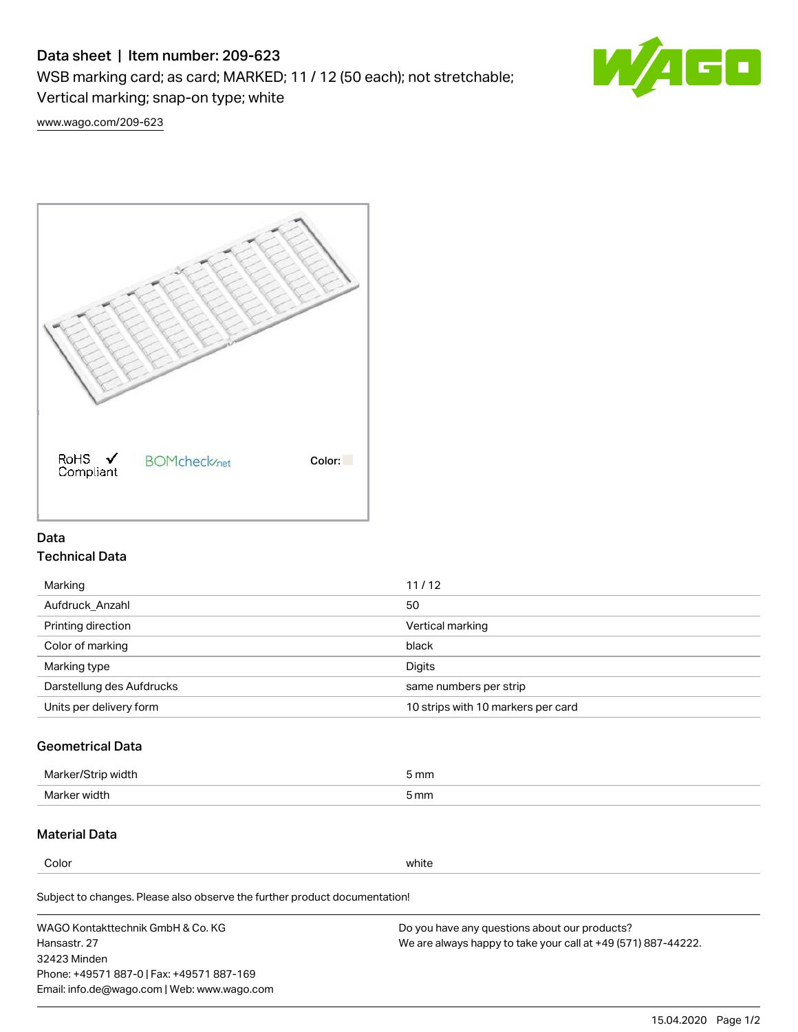# Data sheet | Item number: 209-623

WSB marking card; as card; MARKED; 11 / 12 (50 each); not stretchable;

Vertical marking; snap-on type; white



[www.wago.com/209-623](http://www.wago.com/209-623)



## Data Technical Data

| Marking                   | 11/12                              |
|---------------------------|------------------------------------|
| Aufdruck Anzahl           | 50                                 |
| Printing direction        | Vertical marking                   |
| Color of marking          | black                              |
| Marking type              | Digits                             |
| Darstellung des Aufdrucks | same numbers per strip             |
| Units per delivery form   | 10 strips with 10 markers per card |

# Geometrical Data

| طلقاء ئ<br><b>Marker</b><br>widtr | ັກmm |
|-----------------------------------|------|
| Marker width                      | 5 mm |

## Material Data

Color white

Subject to changes. Please also observe the further product documentation!

WAGO Kontakttechnik GmbH & Co. KG Hansastr. 27 32423 Minden Phone: +49571 887-0 | Fax: +49571 887-169 Email: info.de@wago.com | Web: www.wago.com Do you have any questions about our products? We are always happy to take your call at +49 (571) 887-44222.